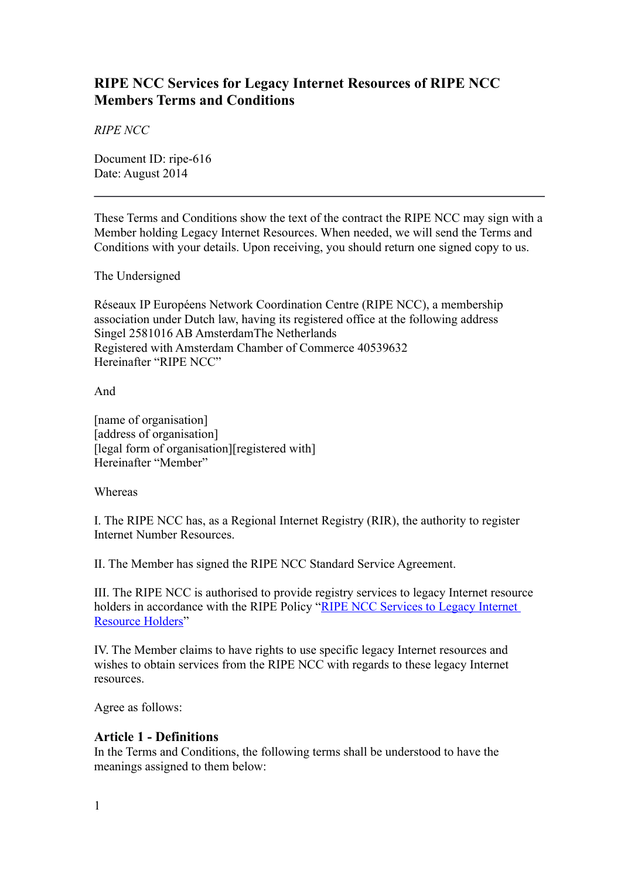# **RIPE NCC Services for Legacy Internet Resources of RIPE NCC Members Terms and Conditions**

*RIPE NCC*

Document ID: ripe-616 Date: August 2014

These Terms and Conditions show the text of the contract the RIPE NCC may sign with a Member holding Legacy Internet Resources. When needed, we will send the Terms and Conditions with your details. Upon receiving, you should return one signed copy to us.

The Undersigned

Réseaux IP Européens Network Coordination Centre (RIPE NCC), a membership association under Dutch law, having its registered office at the following address Singel 2581016 AB AmsterdamThe Netherlands Registered with Amsterdam Chamber of Commerce 40539632 Hereinafter "RIPE NCC"

And

[name of organisation] [address of organisation] [legal form of organisation][registered with] Hereinafter "Member"

Whereas

I. The RIPE NCC has, as a Regional Internet Registry (RIR), the authority to register Internet Number Resources.

II. The Member has signed the RIPE NCC Standard Service Agreement.

III. The RIPE NCC is authorised to provide registry services to legacy Internet resource holders in accordance with the RIPE Policy ["RIPE NCC Services to Legacy Internet](https://www.ripe.net/ripe/docs/ripe-605/)  [Resource Holders"](https://www.ripe.net/ripe/docs/ripe-605/)

IV. The Member claims to have rights to use specific legacy Internet resources and wishes to obtain services from the RIPE NCC with regards to these legacy Internet resources.

Agree as follows:

#### **Article 1 - Definitions**

In the Terms and Conditions, the following terms shall be understood to have the meanings assigned to them below: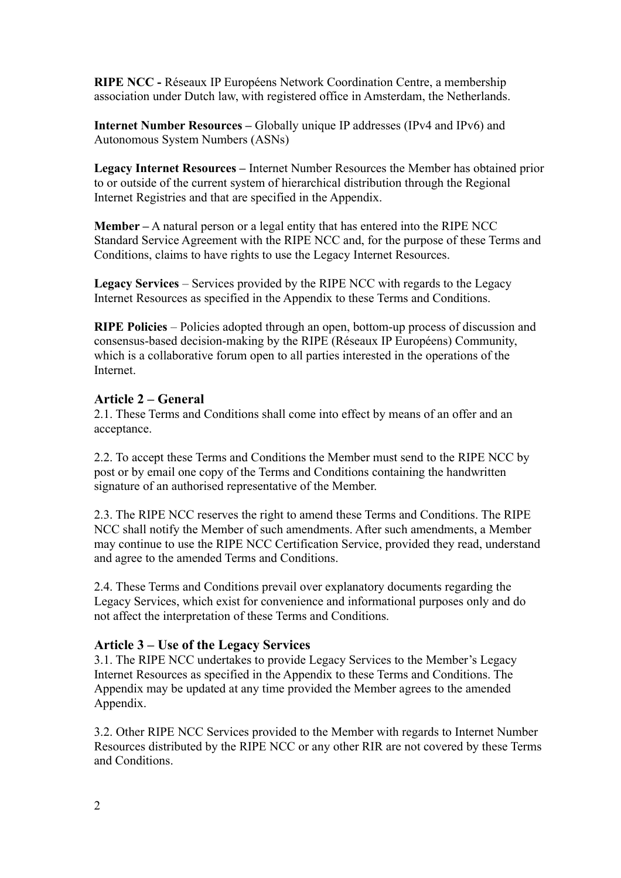**RIPE NCC -** Réseaux IP Européens Network Coordination Centre, a membership association under Dutch law, with registered office in Amsterdam, the Netherlands.

**Internet Number Resources –** Globally unique IP addresses (IPv4 and IPv6) and Autonomous System Numbers (ASNs)

**Legacy Internet Resources –** Internet Number Resources the Member has obtained prior to or outside of the current system of hierarchical distribution through the Regional Internet Registries and that are specified in the Appendix.

**Member –** A natural person or a legal entity that has entered into the RIPE NCC Standard Service Agreement with the RIPE NCC and, for the purpose of these Terms and Conditions, claims to have rights to use the Legacy Internet Resources.

**Legacy Services** – Services provided by the RIPE NCC with regards to the Legacy Internet Resources as specified in the Appendix to these Terms and Conditions.

**RIPE Policies** – Policies adopted through an open, bottom-up process of discussion and consensus-based decision-making by the RIPE (Réseaux IP Européens) Community, which is a collaborative forum open to all parties interested in the operations of the Internet.

#### **Article 2 – General**

2.1. These Terms and Conditions shall come into effect by means of an offer and an acceptance.

2.2. To accept these Terms and Conditions the Member must send to the RIPE NCC by post or by email one copy of the Terms and Conditions containing the handwritten signature of an authorised representative of the Member.

2.3. The RIPE NCC reserves the right to amend these Terms and Conditions. The RIPE NCC shall notify the Member of such amendments. After such amendments, a Member may continue to use the RIPE NCC Certification Service, provided they read, understand and agree to the amended Terms and Conditions.

2.4. These Terms and Conditions prevail over explanatory documents regarding the Legacy Services, which exist for convenience and informational purposes only and do not affect the interpretation of these Terms and Conditions.

#### **Article 3 – Use of the Legacy Services**

3.1. The RIPE NCC undertakes to provide Legacy Services to the Member's Legacy Internet Resources as specified in the Appendix to these Terms and Conditions. The Appendix may be updated at any time provided the Member agrees to the amended Appendix.

3.2. Other RIPE NCC Services provided to the Member with regards to Internet Number Resources distributed by the RIPE NCC or any other RIR are not covered by these Terms and Conditions.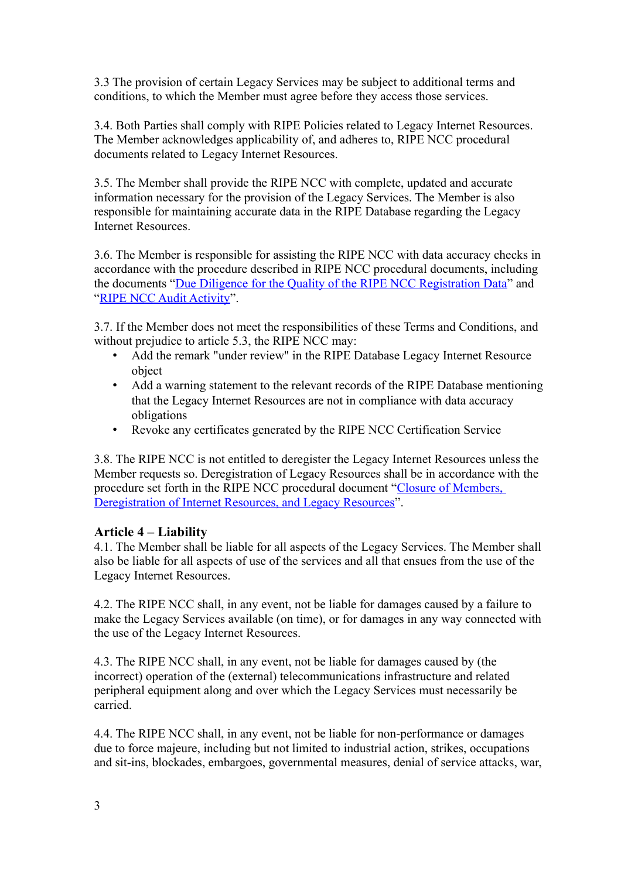3.3 The provision of certain Legacy Services may be subject to additional terms and conditions, to which the Member must agree before they access those services.

3.4. Both Parties shall comply with RIPE Policies related to Legacy Internet Resources. The Member acknowledges applicability of, and adheres to, RIPE NCC procedural documents related to Legacy Internet Resources.

3.5. The Member shall provide the RIPE NCC with complete, updated and accurate information necessary for the provision of the Legacy Services. The Member is also responsible for maintaining accurate data in the RIPE Database regarding the Legacy Internet Resources.

3.6. The Member is responsible for assisting the RIPE NCC with data accuracy checks in accordance with the procedure described in RIPE NCC procedural documents, including the documents ["Due Diligence for the Quality of the RIPE NCC Registration Data"](https://www.ripe.net/ripe/docs/due-diligence) and ["RIPE NCC Audit Activity"](https://www.ripe.net/ripe/docs/audit).

3.7. If the Member does not meet the responsibilities of these Terms and Conditions, and without prejudice to article 5.3, the RIPE NCC may:

- Add the remark "under review" in the RIPE Database Legacy Internet Resource object
- Add a warning statement to the relevant records of the RIPE Database mentioning that the Legacy Internet Resources are not in compliance with data accuracy obligations
- Revoke any certificates generated by the RIPE NCC Certification Service

3.8. The RIPE NCC is not entitled to deregister the Legacy Internet Resources unless the Member requests so. Deregistration of Legacy Resources shall be in accordance with the procedure set forth in the RIPE NCC procedural document ["Closure of Members,](https://www.ripe.net/ripe/docs/closure)  [Deregistration of Internet Resources, and Legacy Resources"](https://www.ripe.net/ripe/docs/closure).

#### **Article 4 – Liability**

4.1. The Member shall be liable for all aspects of the Legacy Services. The Member shall also be liable for all aspects of use of the services and all that ensues from the use of the Legacy Internet Resources.

4.2. The RIPE NCC shall, in any event, not be liable for damages caused by a failure to make the Legacy Services available (on time), or for damages in any way connected with the use of the Legacy Internet Resources.

4.3. The RIPE NCC shall, in any event, not be liable for damages caused by (the incorrect) operation of the (external) telecommunications infrastructure and related peripheral equipment along and over which the Legacy Services must necessarily be carried.

4.4. The RIPE NCC shall, in any event, not be liable for non-performance or damages due to force majeure, including but not limited to industrial action, strikes, occupations and sit-ins, blockades, embargoes, governmental measures, denial of service attacks, war,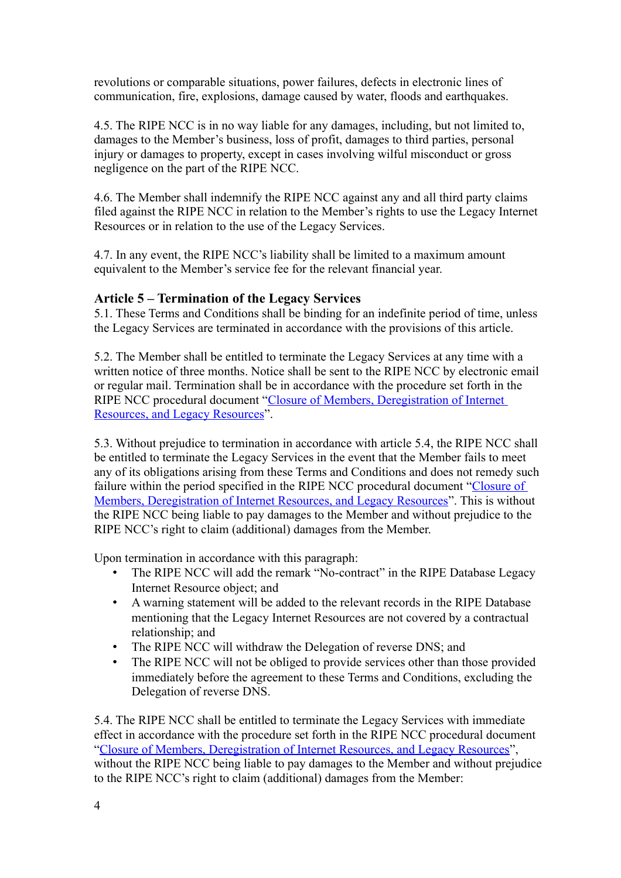revolutions or comparable situations, power failures, defects in electronic lines of communication, fire, explosions, damage caused by water, floods and earthquakes.

4.5. The RIPE NCC is in no way liable for any damages, including, but not limited to, damages to the Member's business, loss of profit, damages to third parties, personal injury or damages to property, except in cases involving wilful misconduct or gross negligence on the part of the RIPE NCC.

4.6. The Member shall indemnify the RIPE NCC against any and all third party claims filed against the RIPE NCC in relation to the Member's rights to use the Legacy Internet Resources or in relation to the use of the Legacy Services.

4.7. In any event, the RIPE NCC's liability shall be limited to a maximum amount equivalent to the Member's service fee for the relevant financial year.

#### **Article 5 – Termination of the Legacy Services**

5.1. These Terms and Conditions shall be binding for an indefinite period of time, unless the Legacy Services are terminated in accordance with the provisions of this article.

5.2. The Member shall be entitled to terminate the Legacy Services at any time with a written notice of three months. Notice shall be sent to the RIPE NCC by electronic email or regular mail. Termination shall be in accordance with the procedure set forth in the RIPE NCC procedural document ["Closure of Members, Deregistration of Internet](https://www.ripe.net/ripe/docs/closure)  [Resources, and Legacy Resources"](https://www.ripe.net/ripe/docs/closure).

5.3. Without prejudice to termination in accordance with article 5.4, the RIPE NCC shall be entitled to terminate the Legacy Services in the event that the Member fails to meet any of its obligations arising from these Terms and Conditions and does not remedy such failure within the period specified in the RIPE NCC procedural document ["Closure of](https://www.ripe.net/ripe/docs/closure)  [Members, Deregistration of Internet Resources, and Legacy Resources"](https://www.ripe.net/ripe/docs/closure). This is without the RIPE NCC being liable to pay damages to the Member and without prejudice to the RIPE NCC's right to claim (additional) damages from the Member.

Upon termination in accordance with this paragraph:

- The RIPE NCC will add the remark "No-contract" in the RIPE Database Legacy Internet Resource object; and
- A warning statement will be added to the relevant records in the RIPE Database mentioning that the Legacy Internet Resources are not covered by a contractual relationship; and
- The RIPE NCC will withdraw the Delegation of reverse DNS; and
- The RIPE NCC will not be obliged to provide services other than those provided immediately before the agreement to these Terms and Conditions, excluding the Delegation of reverse DNS.

5.4. The RIPE NCC shall be entitled to terminate the Legacy Services with immediate effect in accordance with the procedure set forth in the RIPE NCC procedural document ["Closure of Members, Deregistration of Internet Resources, and Legacy Resources"](https://www.ripe.net/ripe/docs/closure), without the RIPE NCC being liable to pay damages to the Member and without prejudice to the RIPE NCC's right to claim (additional) damages from the Member: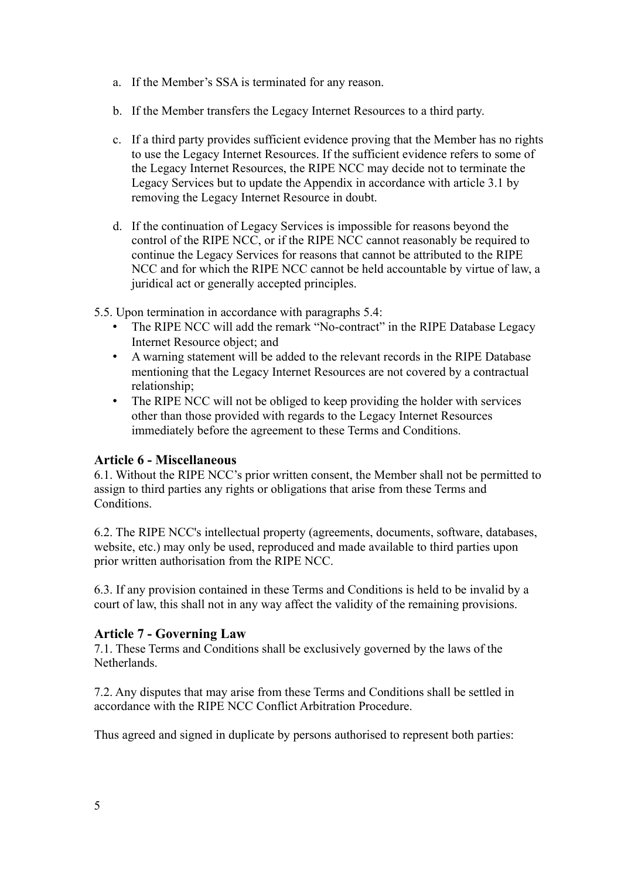- a. If the Member's SSA is terminated for any reason.
- b. If the Member transfers the Legacy Internet Resources to a third party.
- c. If a third party provides sufficient evidence proving that the Member has no rights to use the Legacy Internet Resources. If the sufficient evidence refers to some of the Legacy Internet Resources, the RIPE NCC may decide not to terminate the Legacy Services but to update the Appendix in accordance with article 3.1 by removing the Legacy Internet Resource in doubt.
- d. If the continuation of Legacy Services is impossible for reasons beyond the control of the RIPE NCC, or if the RIPE NCC cannot reasonably be required to continue the Legacy Services for reasons that cannot be attributed to the RIPE NCC and for which the RIPE NCC cannot be held accountable by virtue of law, a juridical act or generally accepted principles.
- 5.5. Upon termination in accordance with paragraphs 5.4:
	- The RIPE NCC will add the remark "No-contract" in the RIPE Database Legacy Internet Resource object; and
	- A warning statement will be added to the relevant records in the RIPE Database mentioning that the Legacy Internet Resources are not covered by a contractual relationship;
	- The RIPE NCC will not be obliged to keep providing the holder with services other than those provided with regards to the Legacy Internet Resources immediately before the agreement to these Terms and Conditions.

### **Article 6 - Miscellaneous**

6.1. Without the RIPE NCC's prior written consent, the Member shall not be permitted to assign to third parties any rights or obligations that arise from these Terms and Conditions.

6.2. The RIPE NCC's intellectual property (agreements, documents, software, databases, website, etc.) may only be used, reproduced and made available to third parties upon prior written authorisation from the RIPE NCC.

6.3. If any provision contained in these Terms and Conditions is held to be invalid by a court of law, this shall not in any way affect the validity of the remaining provisions.

### **Article 7 - Governing Law**

7.1. These Terms and Conditions shall be exclusively governed by the laws of the **Netherlands** 

7.2. Any disputes that may arise from these Terms and Conditions shall be settled in accordance with the RIPE NCC Conflict Arbitration Procedure.

Thus agreed and signed in duplicate by persons authorised to represent both parties: